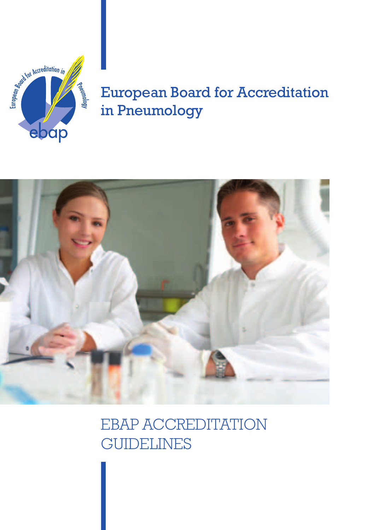Accreditation in aceannology ebap

# European Board for Accreditation in Pneumology



EBAP Accreditation **GUIDELINES**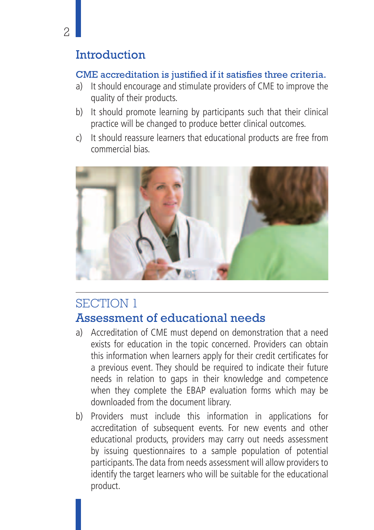## **Introduction**

### CME accreditation is justified if it satisfies three criteria.

- a) It should encourage and stimulate providers of CME to improve the quality of their products.
- b) It should promote learning by participants such that their clinical practice will be changed to produce better clinical outcomes.
- c) It should reassure learners that educational products are free from commercial bias.



## SECTION 1 Assessment of educational needs

- a) Accreditation of CME must depend on demonstration that a need exists for education in the topic concerned. Providers can obtain this information when learners apply for their credit certificates for a previous event. They should be required to indicate their future needs in relation to gaps in their knowledge and competence when they complete the EBAP evaluation forms which may be downloaded from the document library.
- b) Providers must include this information in applications for accreditation of subsequent events. For new events and other educational products, providers may carry out needs assessment by issuing questionnaires to a sample population of potential participants. The data from needs assessment will allow providers to identify the target learners who will be suitable for the educational product.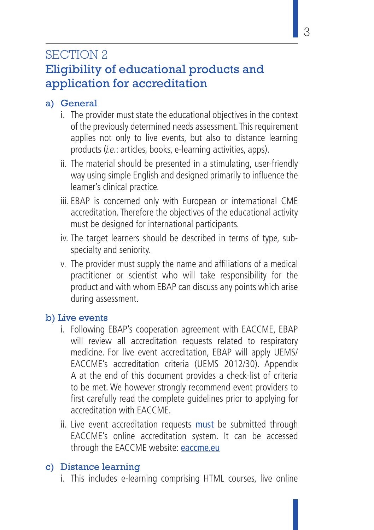## SECTION 2

## Eligibility of educational products and application for accreditation

### a) General

- i. The provider must state the educational objectives in the context of the previously determined needs assessment. This requirement applies not only to live events, but also to distance learning products (i.e.: articles, books, e-learning activities, apps).
- ii. The material should be presented in a stimulating, user-friendly way using simple English and designed primarily to influence the learner's clinical practice.
- iii. EBAP is concerned only with European or international CME accreditation. Therefore the objectives of the educational activity must be designed for international participants.
- iv. The target learners should be described in terms of type, subspecialty and seniority.
- v. The provider must supply the name and affiliations of a medical practitioner or scientist who will take responsibility for the product and with whom EBAP can discuss any points which arise during assessment.

### b) Live events

- i. Following EBAP's cooperation agreement with EACCME, EBAP will review all accreditation requests related to respiratory medicine. For live event accreditation, EBAP will apply UEMS/ EACCME's accreditation criteria (UEMS 2012/30). Appendix A at the end of this document provides a check-list of criteria to be met. We however strongly recommend event providers to first carefully read the complete guidelines prior to applying for accreditation with EACCME.
- ii. Live event accreditation requests must be submitted through EACCME's online accreditation system. It can be accessed through the EACCME website: eaccme.eu

### c) Distance learning

i. This includes e-learning comprising HTML courses, live online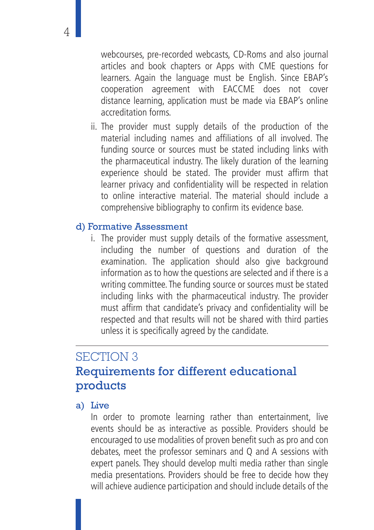webcourses, pre-recorded webcasts, CD-Roms and also journal articles and book chapters or Apps with CME questions for learners. Again the language must be English. Since EBAP's cooperation agreement with EACCME does not cover distance learning, application must be made via EBAP's online accreditation forms.

ii. The provider must supply details of the production of the material including names and affiliations of all involved. The funding source or sources must be stated including links with the pharmaceutical industry. The likely duration of the learning experience should be stated. The provider must affirm that learner privacy and confidentiality will be respected in relation to online interactive material. The material should include a comprehensive bibliography to confirm its evidence base.

#### d) Formative Assessment

i. The provider must supply details of the formative assessment, including the number of questions and duration of the examination. The application should also give background information as to how the questions are selected and if there is a writing committee. The funding source or sources must be stated including links with the pharmaceutical industry. The provider must affirm that candidate's privacy and confidentiality will be respected and that results will not be shared with third parties unless it is specifically agreed by the candidate.

## SECTION 3 Requirements for different educational products

#### a) Live

In order to promote learning rather than entertainment, live events should be as interactive as possible. Providers should be encouraged to use modalities of proven benefit such as pro and con debates, meet the professor seminars and Q and A sessions with expert panels. They should develop multi media rather than single media presentations. Providers should be free to decide how they will achieve audience participation and should include details of the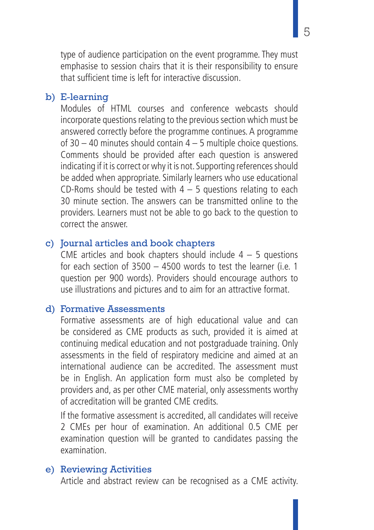type of audience participation on the event programme. They must emphasise to session chairs that it is their responsibility to ensure that sufficient time is left for interactive discussion.

#### b) E-learning

Modules of HTML courses and conference webcasts should incorporate questions relating to the previous section which must be answered correctly before the programme continues. A programme of  $30 - 40$  minutes should contain  $4 - 5$  multiple choice questions. Comments should be provided after each question is answered indicating if it is correct or why it is not. Supporting references should be added when appropriate. Similarly learners who use educational CD-Roms should be tested with  $4 - 5$  questions relating to each 30 minute section. The answers can be transmitted online to the providers. Learners must not be able to go back to the question to correct the answer.

#### c) Journal articles and book chapters

CME articles and book chapters should include  $4 - 5$  questions for each section of 3500 – 4500 words to test the learner (i.e. 1 question per 900 words). Providers should encourage authors to use illustrations and pictures and to aim for an attractive format.

#### d) Formative Assessments

Formative assessments are of high educational value and can be considered as CME products as such, provided it is aimed at continuing medical education and not postgraduade training. Only assessments in the field of respiratory medicine and aimed at an international audience can be accredited. The assessment must be in English. An application form must also be completed by providers and, as per other CME material, only assessments worthy of accreditation will be granted CME credits.

If the formative assessment is accredited, all candidates will receive 2 CMEs per hour of examination. An additional 0.5 CME per examination question will be granted to candidates passing the examination.

#### e) Reviewing Activities

Article and abstract review can be recognised as a CME activity.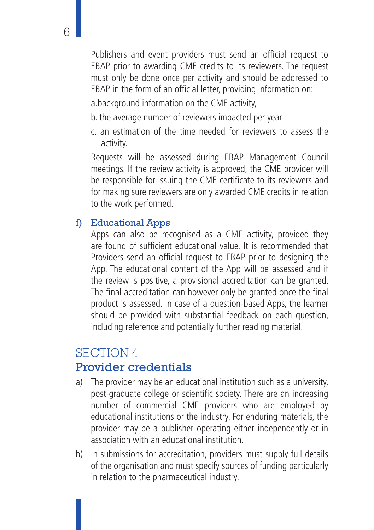Publishers and event providers must send an official request to EBAP prior to awarding CME credits to its reviewers. The request must only be done once per activity and should be addressed to EBAP in the form of an official letter, providing information on:

a.background information on the CME activity,

- b. the average number of reviewers impacted per year
- c. an estimation of the time needed for reviewers to assess the activity.

Requests will be assessed during EBAP Management Council meetings. If the review activity is approved, the CME provider will be responsible for issuing the CME certificate to its reviewers and for making sure reviewers are only awarded CME credits in relation to the work performed.

#### f) Educational Apps

Apps can also be recognised as a CME activity, provided they are found of sufficient educational value. It is recommended that Providers send an official request to EBAP prior to designing the App. The educational content of the App will be assessed and if the review is positive, a provisional accreditation can be granted. The final accreditation can however only be granted once the final product is assessed. In case of a question-based Apps, the learner should be provided with substantial feedback on each question, including reference and potentially further reading material.

### SECTION 4 Provider credentials

- a) The provider may be an educational institution such as a university, post-graduate college or scientific society. There are an increasing number of commercial CME providers who are employed by educational institutions or the industry. For enduring materials, the provider may be a publisher operating either independently or in association with an educational institution.
- b) In submissions for accreditation, providers must supply full details of the organisation and must specify sources of funding particularly in relation to the pharmaceutical industry.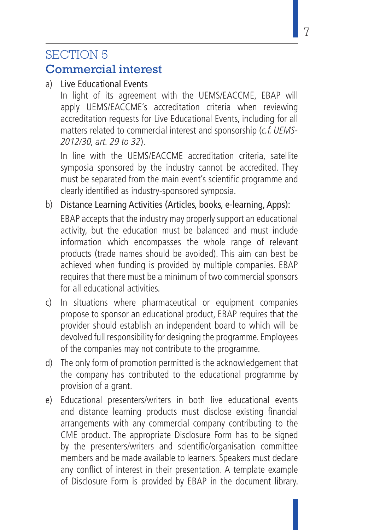# SECTION 5

## Commercial interest

a) Live Educational Events

In light of its agreement with the UEMS/EACCME, EBAP will apply UEMS/EACCME's accreditation criteria when reviewing accreditation requests for Live Educational Events, including for all matters related to commercial interest and sponsorship (c.f. UEMS-2012/30, art. 29 to 32).

In line with the UEMS/EACCME accreditation criteria, satellite symposia sponsored by the industry cannot be accredited. They must be separated from the main event's scientific programme and clearly identified as industry-sponsored symposia.

b) Distance Learning Activities (Articles, books, e-learning, Apps):

EBAP accepts that the industry may properly support an educational activity, but the education must be balanced and must include information which encompasses the whole range of relevant products (trade names should be avoided). This aim can best be achieved when funding is provided by multiple companies. EBAP requires that there must be a minimum of two commercial sponsors for all educational activities.

- c) In situations where pharmaceutical or equipment companies propose to sponsor an educational product, EBAP requires that the provider should establish an independent board to which will be devolved full responsibility for designing the programme. Employees of the companies may not contribute to the programme.
- d) The only form of promotion permitted is the acknowledgement that the company has contributed to the educational programme by provision of a grant.
- e) Educational presenters/writers in both live educational events and distance learning products must disclose existing financial arrangements with any commercial company contributing to the CME product. The appropriate Disclosure Form has to be signed by the presenters/writers and scientific/organisation committee members and be made available to learners. Speakers must declare any conflict of interest in their presentation. A template example of Disclosure Form is provided by EBAP in the document library.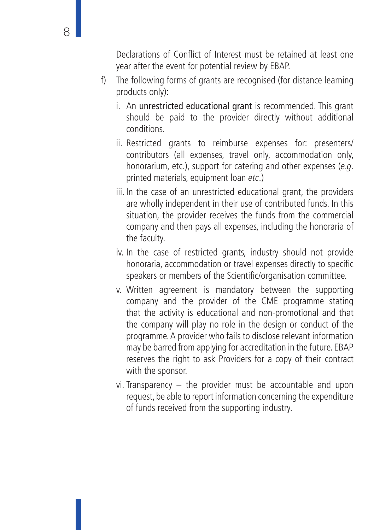Declarations of Conflict of Interest must be retained at least one year after the event for potential review by EBAP.

- f) The following forms of grants are recognised (for distance learning products only):
	- i. An unrestricted educational grant is recommended. This grant should be paid to the provider directly without additional conditions.
	- ii. Restricted grants to reimburse expenses for: presenters/ contributors (all expenses, travel only, accommodation only, honorarium, etc.), support for catering and other expenses (e.g. printed materials, equipment loan etc.)
	- iii. In the case of an unrestricted educational grant, the providers are wholly independent in their use of contributed funds. In this situation, the provider receives the funds from the commercial company and then pays all expenses, including the honoraria of the faculty.
	- iv. In the case of restricted grants, industry should not provide honoraria, accommodation or travel expenses directly to specific speakers or members of the Scientific/organisation committee.
	- v. Written agreement is mandatory between the supporting company and the provider of the CME programme stating that the activity is educational and non-promotional and that the company will play no role in the design or conduct of the programme. A provider who fails to disclose relevant information may be barred from applying for accreditation in the future. EBAP reserves the right to ask Providers for a copy of their contract with the sponsor.
	- vi. Transparency the provider must be accountable and upon request, be able to report information concerning the expenditure of funds received from the supporting industry.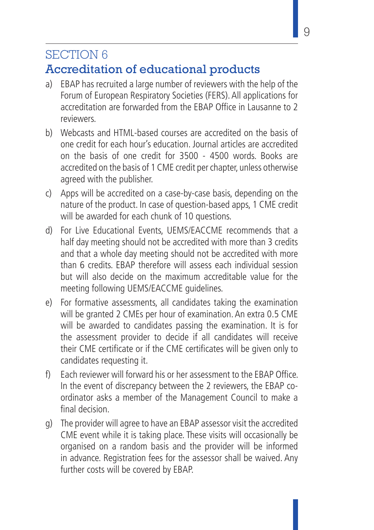## SECTION 6

## Accreditation of educational products

- a) EBAP has recruited a large number of reviewers with the help of the Forum of European Respiratory Societies (FERS). All applications for accreditation are forwarded from the EBAP Office in Lausanne to 2 reviewers.
- b) Webcasts and HTML-based courses are accredited on the basis of one credit for each hour's education. Journal articles are accredited on the basis of one credit for 3500 - 4500 words. Books are accredited on the basis of 1 CME credit per chapter, unless otherwise agreed with the publisher.
- c) Apps will be accredited on a case-by-case basis, depending on the nature of the product. In case of question-based apps, 1 CME credit will be awarded for each chunk of 10 questions.
- d) For Live Educational Events, UEMS/EACCME recommends that a half day meeting should not be accredited with more than 3 credits and that a whole day meeting should not be accredited with more than 6 credits. EBAP therefore will assess each individual session but will also decide on the maximum accreditable value for the meeting following UEMS/EACCME guidelines.
- e) For formative assessments, all candidates taking the examination will be granted 2 CMEs per hour of examination. An extra 0.5 CME will be awarded to candidates passing the examination. It is for the assessment provider to decide if all candidates will receive their CME certificate or if the CME certificates will be given only to candidates requesting it.
- f) Each reviewer will forward his or her assessment to the EBAP Office. In the event of discrepancy between the 2 reviewers, the EBAP coordinator asks a member of the Management Council to make a final decision.
- g) The provider will agree to have an EBAP assessor visit the accredited CME event while it is taking place. These visits will occasionally be organised on a random basis and the provider will be informed in advance. Registration fees for the assessor shall be waived. Any further costs will be covered by EBAP.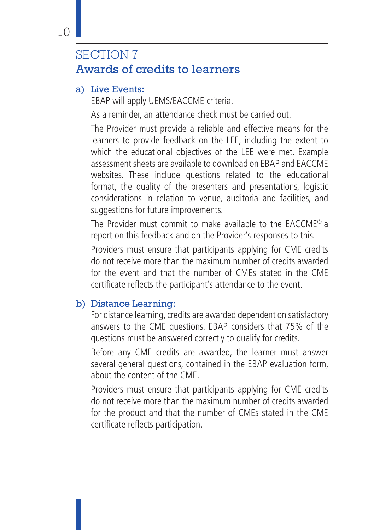## SECTION 7 Awards of credits to learners

#### a) Live Events:

EBAP will apply UEMS/EACCME criteria.

As a reminder, an attendance check must be carried out.

The Provider must provide a reliable and effective means for the learners to provide feedback on the LEE, including the extent to which the educational objectives of the LEE were met. Example assessment sheets are available to download on EBAP and EACCME websites. These include questions related to the educational format, the quality of the presenters and presentations, logistic considerations in relation to venue, auditoria and facilities, and suggestions for future improvements.

The Provider must commit to make available to the EACCME® a report on this feedback and on the Provider's responses to this.

Providers must ensure that participants applying for CME credits do not receive more than the maximum number of credits awarded for the event and that the number of CMEs stated in the CME certificate reflects the participant's attendance to the event.

### b) Distance Learning:

For distance learning, credits are awarded dependent on satisfactory answers to the CME questions. EBAP considers that 75% of the questions must be answered correctly to qualify for credits.

Before any CME credits are awarded, the learner must answer several general questions, contained in the EBAP evaluation form, about the content of the CME.

Providers must ensure that participants applying for CME credits do not receive more than the maximum number of credits awarded for the product and that the number of CMEs stated in the CME certificate reflects participation.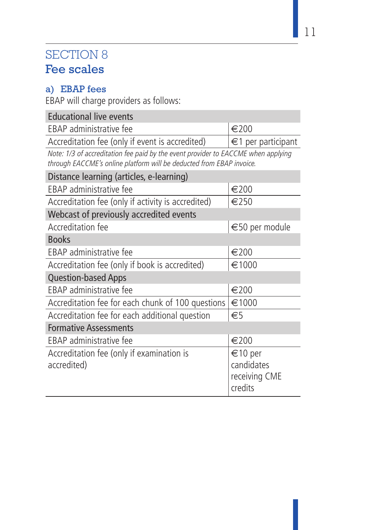## SECTION 8 Fee scales

### a) EBAP fees

EBAP will charge providers as follows:

| <b>Educational live events</b>                                                                                                                            |                                                   |  |  |  |  |
|-----------------------------------------------------------------------------------------------------------------------------------------------------------|---------------------------------------------------|--|--|--|--|
| EBAP administrative fee                                                                                                                                   | $\epsilon$ 200                                    |  |  |  |  |
| Accreditation fee (only if event is accredited)                                                                                                           | €1 per participant                                |  |  |  |  |
| Note: 1/3 of accreditation fee paid by the event provider to EACCME when applying<br>through EACCME's online platform will be deducted from EBAP invoice. |                                                   |  |  |  |  |
| Distance learning (articles, e-learning)                                                                                                                  |                                                   |  |  |  |  |
| EBAP administrative fee                                                                                                                                   | €200                                              |  |  |  |  |
| Accreditation fee (only if activity is accredited)                                                                                                        | €250                                              |  |  |  |  |
| Webcast of previously accredited events                                                                                                                   |                                                   |  |  |  |  |
| Accreditation fee                                                                                                                                         | €50 per module                                    |  |  |  |  |
| <b>Books</b>                                                                                                                                              |                                                   |  |  |  |  |
| EBAP administrative fee                                                                                                                                   | €200                                              |  |  |  |  |
| Accreditation fee (only if book is accredited)                                                                                                            | €1000                                             |  |  |  |  |
| <b>Question-based Apps</b>                                                                                                                                |                                                   |  |  |  |  |
| EBAP administrative fee                                                                                                                                   | €200                                              |  |  |  |  |
| Accreditation fee for each chunk of 100 questions                                                                                                         | €1000                                             |  |  |  |  |
| Accreditation fee for each additional question                                                                                                            | $\epsilon$                                        |  |  |  |  |
| <b>Formative Assessments</b>                                                                                                                              |                                                   |  |  |  |  |
| EBAP administrative fee                                                                                                                                   | €200                                              |  |  |  |  |
| Accreditation fee (only if examination is<br>accredited)                                                                                                  | €10 per<br>candidates<br>receiving CME<br>credits |  |  |  |  |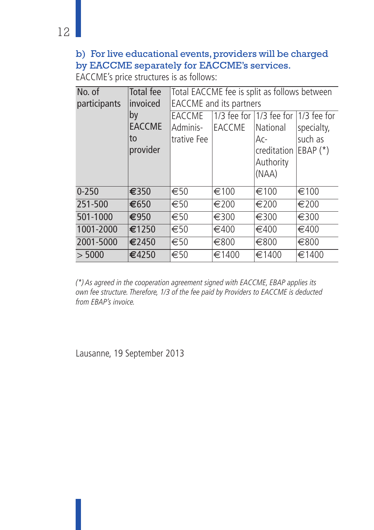### b) For live educational events, providers will be charged by EACCME separately for EACCME's services.

EACCME's price structures is as follows:

| No. of       | Total fee       | Total EACCME fee is split as follows between |               |                                           |                 |  |
|--------------|-----------------|----------------------------------------------|---------------|-------------------------------------------|-----------------|--|
| participants | <i>invoiced</i> | EACCME and its partners                      |               |                                           |                 |  |
|              | by              | EACCME                                       |               | $1/3$ fee for $1/3$ fee for $1/3$ fee for |                 |  |
|              | <b>EACCME</b>   | lAdminis-                                    | <b>EACCME</b> | National                                  | specialty,      |  |
|              | lto             | trative Fee                                  |               | Ac-                                       | such as         |  |
|              | provider        |                                              |               | creditation                               | $EBAP$ $(*)$    |  |
|              |                 |                                              |               | Authority                                 |                 |  |
|              |                 |                                              |               | (NAA)                                     |                 |  |
| $0 - 250$    | €350            | €50                                          | €100          | €100                                      | $\epsilon$ 100  |  |
| 251-500      | 1€650           | €50                                          | €200          | €200                                      | €200            |  |
| 501-1000     | €950            | €50                                          | €300          | €300                                      | €300            |  |
| 1001-2000    | $\epsilon$ 1250 | €50                                          | €400          | €400                                      | €400            |  |
| 2001-5000    | €2450           | €50                                          | €800          | €800                                      | €800            |  |
| > 5000       | €4250           | $\epsilon$ 50                                | €1400         | €1400                                     | $\epsilon$ 1400 |  |

(\*) As agreed in the cooperation agreement signed with EACCME, EBAP applies its own fee structure. Therefore, 1/3 of the fee paid by Providers to EACCME is deducted from EBAP's invoice.

Lausanne, 19 September 2013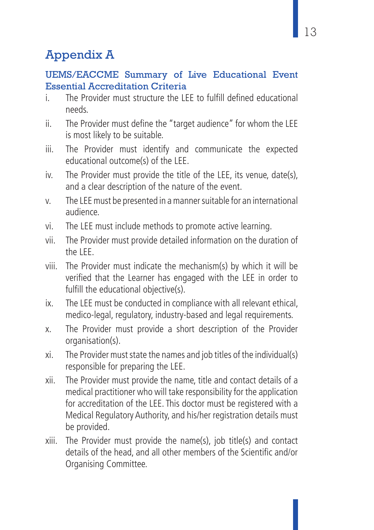## Appendix A

### UEMS/EACCME Summary of Live Educational Event Essential Accreditation Criteria

- i. The Provider must structure the LEE to fulfill defined educational needs.
- ii. The Provider must define the "target audience" for whom the LEE is most likely to be suitable.
- iii. The Provider must identify and communicate the expected educational outcome(s) of the LEE.
- iv. The Provider must provide the title of the LEE, its venue, date(s), and a clear description of the nature of the event.
- v. The LEE must be presented in a manner suitable for an international audience.
- vi. The LEE must include methods to promote active learning.
- vii. The Provider must provide detailed information on the duration of the LEE.
- viii. The Provider must indicate the mechanism(s) by which it will be verified that the Learner has engaged with the LEE in order to fulfill the educational objective(s).
- ix. The LEE must be conducted in compliance with all relevant ethical, medico-legal, regulatory, industry-based and legal requirements.
- x. The Provider must provide a short description of the Provider organisation(s).
- xi. The Provider must state the names and job titles of the individual(s) responsible for preparing the LEE.
- xii. The Provider must provide the name, title and contact details of a medical practitioner who will take responsibility for the application for accreditation of the LEE. This doctor must be registered with a Medical Regulatory Authority, and his/her registration details must be provided.
- xiii. The Provider must provide the name(s), job title(s) and contact details of the head, and all other members of the Scientific and/or Organising Committee.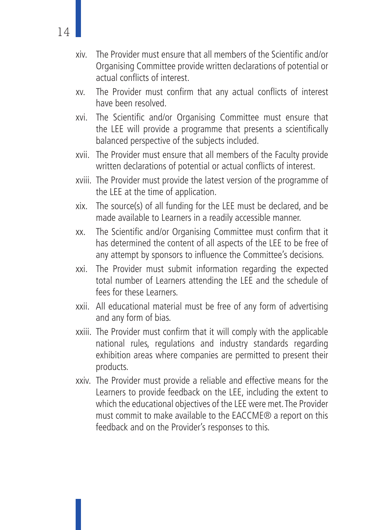- xiv. The Provider must ensure that all members of the Scientific and/or Organising Committee provide written declarations of potential or actual conflicts of interest.
- xv. The Provider must confirm that any actual conflicts of interest have been resolved.
- xvi. The Scientific and/or Organising Committee must ensure that the LEE will provide a programme that presents a scientifically balanced perspective of the subjects included.
- xvii. The Provider must ensure that all members of the Faculty provide written declarations of potential or actual conflicts of interest.
- xviii. The Provider must provide the latest version of the programme of the LEE at the time of application.
- xix. The source(s) of all funding for the LEE must be declared, and be made available to Learners in a readily accessible manner.
- xx. The Scientific and/or Organising Committee must confirm that it has determined the content of all aspects of the LEE to be free of any attempt by sponsors to influence the Committee's decisions.
- xxi. The Provider must submit information regarding the expected total number of Learners attending the LEE and the schedule of fees for these Learners.
- xxii. All educational material must be free of any form of advertising and any form of bias.
- xxiii. The Provider must confirm that it will comply with the applicable national rules, regulations and industry standards regarding exhibition areas where companies are permitted to present their products.
- xxiv. The Provider must provide a reliable and effective means for the Learners to provide feedback on the LEE, including the extent to which the educational objectives of the LEE were met. The Provider must commit to make available to the EACCME® a report on this feedback and on the Provider's responses to this.

14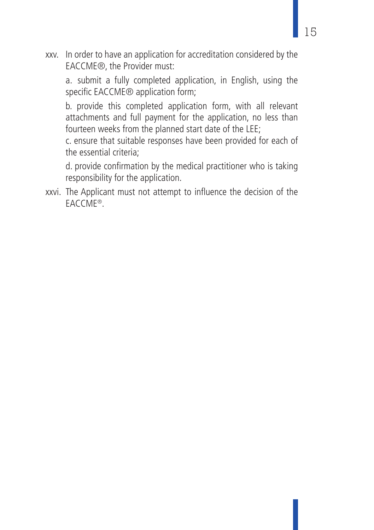xxv. In order to have an application for accreditation considered by the EACCME®, the Provider must:

a. submit a fully completed application, in English, using the specific EACCME<sup>®</sup> application form;

b. provide this completed application form, with all relevant attachments and full payment for the application, no less than fourteen weeks from the planned start date of the LEE;

c. ensure that suitable responses have been provided for each of the essential criteria;

d. provide confirmation by the medical practitioner who is taking responsibility for the application.

xxvi. The Applicant must not attempt to influence the decision of the EACCME®.